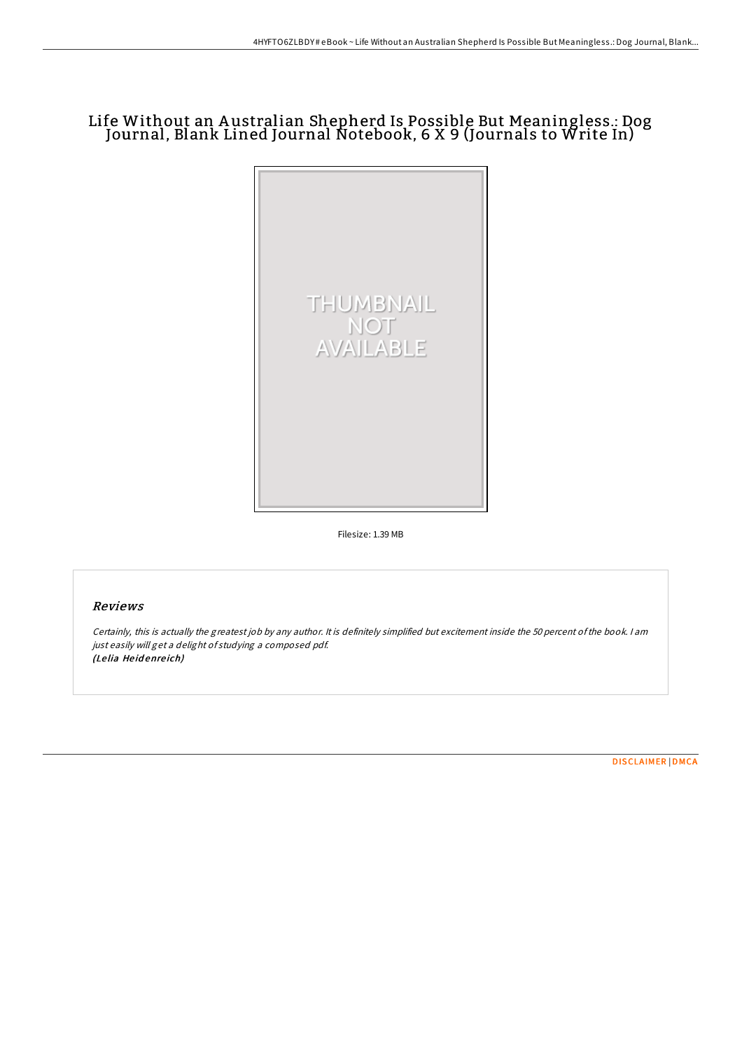## Life Without an A ustralian Shepherd Is Possible But Meaningless.: Dog Journal, Blank Lined Journal Notebook, 6 X 9 (Journals to Write In)



Filesize: 1.39 MB

## Reviews

Certainly, this is actually the greatest job by any author. It is definitely simplified but excitement inside the 50 percent ofthe book. <sup>I</sup> am just easily will get <sup>a</sup> delight of studying <sup>a</sup> composed pdf. (Le lia He id enre ich)

[DISCLAIMER](http://almighty24.tech/disclaimer.html) | [DMCA](http://almighty24.tech/dmca.html)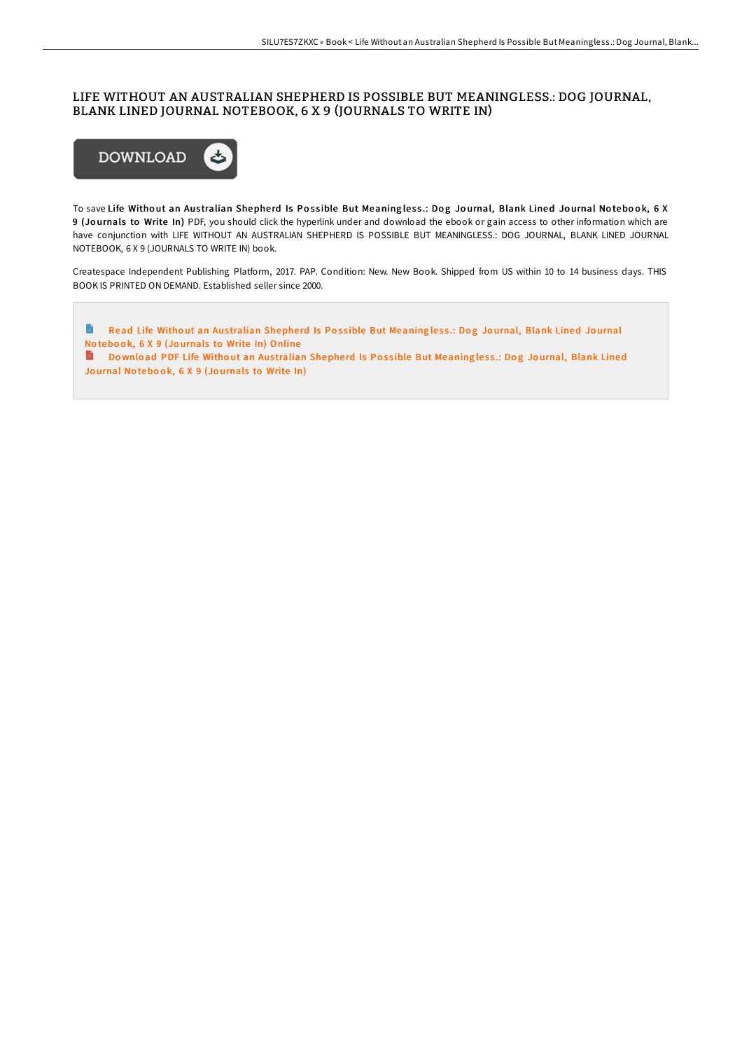## LIFE WITHOUT AN AUSTRALIAN SHEPHERD IS POSSIBLE BUT MEANINGLESS.: DOG JOURNAL, BLANK LINED JOURNAL NOTEBOOK, 6 X 9 (JOURNALS TO WRITE IN)



To save Life Without an Australian Shepherd Is Possible But Meaningless.: Dog Journal, Blank Lined Journal Notebook, 6 X 9 (Jo urnals to Write In) PDF, you should click the hyperlink under and download the ebook or gain access to other information which are have conjunction with LIFE WITHOUT AN AUSTRALIAN SHEPHERD IS POSSIBLE BUT MEANINGLESS.: DOG JOURNAL, BLANK LINED JOURNAL NOTEBOOK, 6 X 9 (JOURNALS TO WRITE IN) book.

Createspace Independent Publishing Platform, 2017. PAP. Condition: New. New Book. Shipped from US within 10 to 14 business days. THIS BOOK IS PRINTED ON DEMAND. Established seller since 2000.